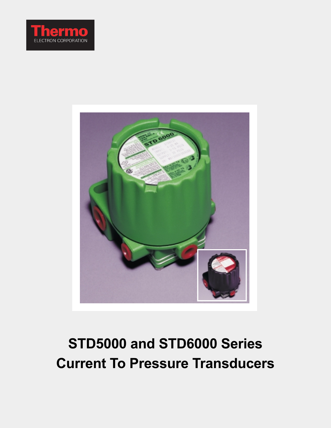



# **STD5000 and STD6000 Series Current To Pressure Transducers**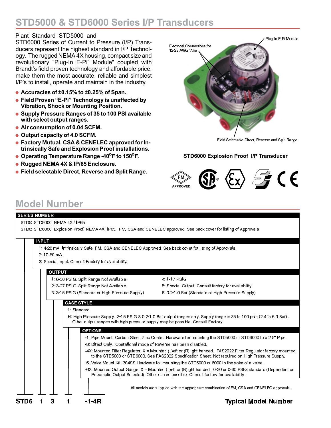# **STD5000 & STD6000 Series I/P Transducers**

## Plant Standard STD5000 and

STD6000 Series of Current to Pressure (I/P) Transducers represent the highest standard in I/P Technology. The rugged NEMA 4X housing, compact size and revolutionary "Plug-In E-Pi" Module" coupled with Brandt's field proven technology and affordable price, make them the most accurate, reliable and simplest I/P's to install, operate and maintain in the industry.

- **Accuracies of ±0.15% to ±0.25% of Span.**
- **Field Proven "E-Pi" Technology is unaffected by Vibration, Shock or Mounting Position.**
- **Supply Pressure Ranges of 35 to 100 PSI available with select output ranges.**
- **Air consumption of 0.04 SCFM.**
- **Output capacity of 4.0 SCFM.**
- **Factory Mutual, CSA & CENELEC approved for Intrinsically Safe and Explosion Proof installations.**
- **Operating Temperature Range -40<sup>o</sup>F to 150<sup>o</sup>F.**
- **Rugged NEMA 4X & IP/65 Enclosure.**
- **Field selectable Direct, Reverse and Split Range.**



Field Selectable Direct, Reverse and Split Range

#### **STD6000 Explosion Proof I/P Transducer**



# **Model Number**

| <b>SERIES NUMBER</b>                                |                                                                                                                                                                                                                     |
|-----------------------------------------------------|---------------------------------------------------------------------------------------------------------------------------------------------------------------------------------------------------------------------|
| STD5 STD5000, NEMA 4X / IP65                        |                                                                                                                                                                                                                     |
|                                                     | STD6: STD6000, Explosion Proof, NEMA 4X, IP65. FM, CSA and CENELEC approved. See back cover for listing of Approvals.                                                                                               |
|                                                     |                                                                                                                                                                                                                     |
| <b>INPUT</b>                                        |                                                                                                                                                                                                                     |
|                                                     | 1: 4-20 mA Intrinsically Safe, FM, CSA and CENELEC Approved. See back cover for listing of Approvals.                                                                                                               |
| 2 10 50 mA                                          |                                                                                                                                                                                                                     |
| 3. Special Input, Consult Factory for availability. |                                                                                                                                                                                                                     |
| <b>OUTPUT</b>                                       |                                                                                                                                                                                                                     |
| 1.6-30 PSIG Split Range Not Available               | 4 1 17 PSIG                                                                                                                                                                                                         |
| 2.3-27 PSIG Split Range Not Available               | 5 Special Output, Consult factory for availability.                                                                                                                                                                 |
| 3 3 15 PSIG (Standard or High Pressure Supply)      | 6 0 2 1 0 Bar (Standard or High Pressure Supply)                                                                                                                                                                    |
| <b>CASE STYLE</b>                                   |                                                                                                                                                                                                                     |
| 1 Standard                                          |                                                                                                                                                                                                                     |
|                                                     | H: High Pressure Supply 3-15 PSIG & 0.2-1.0 Bar output ranges only. Supply range is 35 to 100 psig (2.4 to 6.9 Bar).                                                                                                |
|                                                     | Other output ranges with high pressure supply may be possible. Consult Factory.                                                                                                                                     |
| <b>OPTIONS</b>                                      |                                                                                                                                                                                                                     |
|                                                     | -1: Pipe Mount, Carbon Steel, Zinc Coated Hardware for mounting the STD5000 or STD6000 to a 2.5" Pipe.                                                                                                              |
|                                                     | -3. Direct Only. Operational mode of Reverse has been disabled.                                                                                                                                                     |
|                                                     | -4X: Mounted Filter Regulator, X = Mounted (L)eft or (R) ight handed. FAS2022 Filter Regulator factory mounted<br>to the STD5000 or STD6000. See FAS2022 Specification Sheet. Not required on High Pressure Supply. |
|                                                     | -5: Valve Mount Kit. 304SS Hardware for mounting the STD5000 or 6000 to the yoke of a valve.                                                                                                                        |
|                                                     | -6X: Mounted Output Gauge. X = Mounted (L)eft or (R)ight handed. 0-30 or 0-60 PSIG standard (Dependent on<br>Pneumatic Output Selected). Other scales possible. Consult factory for availability.                   |
|                                                     | All models are supplied with the appropriate combination of FM, CSA and CENELEC approvals.                                                                                                                          |
| STD6<br>3<br>-1-4R                                  | <b>Typical Model Number</b>                                                                                                                                                                                         |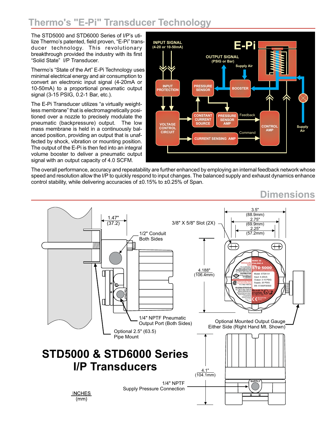# **Thermo's "E-Pi" Transducer Technology**

The STD5000 and STD6000 Series of I/P's utilize Thermo's patented, field proven, "E-Pi" transducer technology. This revolutionary breakthrough provided the industry with its first "Solid State" I/P Transducer.

Thermo's "State of the Art" E-Pi Technology uses minimal electrical energy and air consumption to convert an electronic input signal (4-20mA or 10-50mA) to a proportional pneumatic output signal (3-15 PSIG, 0.2-1 Bar, etc.).

The E-Pi Transducer utilizes "a virtually weightless membrane" that is electromagnetically positioned over a nozzle to precisely modulate the pneumatic (backpressure) output. The low mass membrane is held in a continuously balanced position, providing an output that is unaffected by shock, vibration or mounting position. The output of the E-Pi is then fed into an integral volume booster to deliver a pneumatic output signal with an output capacity of 4.0 SCFM.



The overall performance, accuracy and repeatability are further enhanced by employing an internal feedback network whose speed and resolution allow the I/P to quickly respond to input changes. The balanced supply and exhaust dynamics enhance control stability, while delivering accuracies of ±0.15% to ±0.25% of Span.